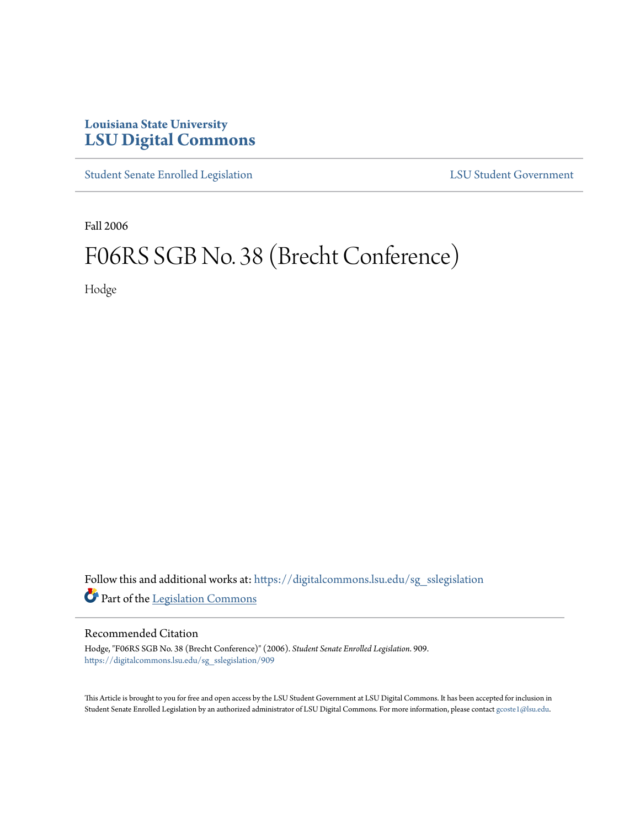## **Louisiana State University [LSU Digital Commons](https://digitalcommons.lsu.edu?utm_source=digitalcommons.lsu.edu%2Fsg_sslegislation%2F909&utm_medium=PDF&utm_campaign=PDFCoverPages)**

[Student Senate Enrolled Legislation](https://digitalcommons.lsu.edu/sg_sslegislation?utm_source=digitalcommons.lsu.edu%2Fsg_sslegislation%2F909&utm_medium=PDF&utm_campaign=PDFCoverPages) [LSU Student Government](https://digitalcommons.lsu.edu/sg?utm_source=digitalcommons.lsu.edu%2Fsg_sslegislation%2F909&utm_medium=PDF&utm_campaign=PDFCoverPages)

Fall 2006

## F06RS SGB No. 38 (Brecht Conference)

Hodge

Follow this and additional works at: [https://digitalcommons.lsu.edu/sg\\_sslegislation](https://digitalcommons.lsu.edu/sg_sslegislation?utm_source=digitalcommons.lsu.edu%2Fsg_sslegislation%2F909&utm_medium=PDF&utm_campaign=PDFCoverPages) Part of the [Legislation Commons](http://network.bepress.com/hgg/discipline/859?utm_source=digitalcommons.lsu.edu%2Fsg_sslegislation%2F909&utm_medium=PDF&utm_campaign=PDFCoverPages)

## Recommended Citation

Hodge, "F06RS SGB No. 38 (Brecht Conference)" (2006). *Student Senate Enrolled Legislation*. 909. [https://digitalcommons.lsu.edu/sg\\_sslegislation/909](https://digitalcommons.lsu.edu/sg_sslegislation/909?utm_source=digitalcommons.lsu.edu%2Fsg_sslegislation%2F909&utm_medium=PDF&utm_campaign=PDFCoverPages)

This Article is brought to you for free and open access by the LSU Student Government at LSU Digital Commons. It has been accepted for inclusion in Student Senate Enrolled Legislation by an authorized administrator of LSU Digital Commons. For more information, please contact [gcoste1@lsu.edu.](mailto:gcoste1@lsu.edu)